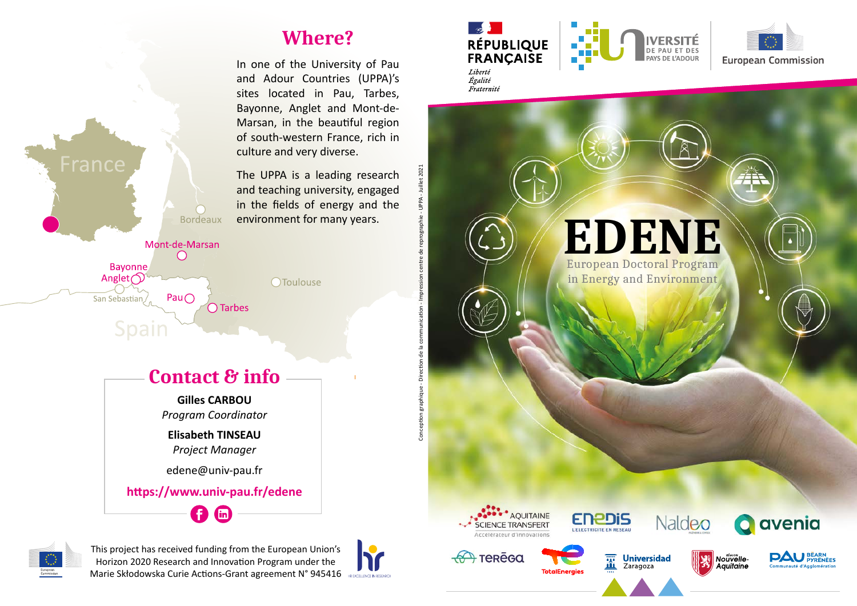## **Where?**

In one of the University of Pau and Adour Countries (UPPA)'s sites located in Pau, Tarbes, Bayonne, Anglet and Mont-de-Marsan, in the beautiful region of south-western France, rich in culture and very diverse.

The UPPA is a leading research and teaching university, engaged in the fields of energy and the environment for many years.

OToulouse

**Contact & info**

 $\bigcap$  Tarbes

**Bordeaux** 

Mont-de-Marsan  $\bigcap$ 

Pau $\bigcirc$ 

**Gilles CARBOU** *Program Coordinator*

**Elisabeth TINSEAU** *Project Manager*

edene@univ-pau.fr

O @

**https://www.univ-pau.fr/edene**



France

**Bayonne** Anglet $\bigcirc$ 

Spair

San Sebastian /

This project has received funding from the European Union's Horizon 2020 Research and Innovation Program under the Marie Skłodowska Curie Actions-Grant agreement N° 945416



Conception graphique - Direction de la communication - Impression centre de reprographie - UPPA - Juillet 2021

Conception graphique - Direction de la communication

2021





**EDENE** European Doctoral Program in Energy and Environment



 $\rightarrow$  теке̄са



**TotalEnergies** 

蕾 m

Zaragoza